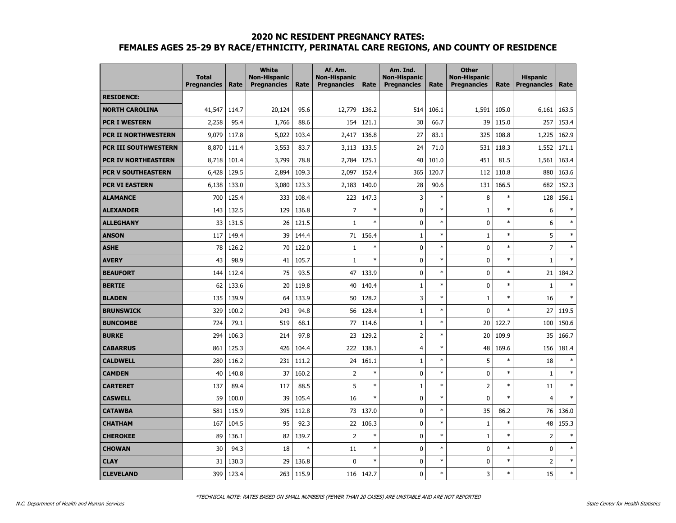|                            | <b>Total</b><br><b>Pregnancies</b> | Rate  | <b>White</b><br><b>Non-Hispanic</b><br><b>Pregnancies</b> | Rate   | Af. Am.<br><b>Non-Hispanic</b><br><b>Pregnancies</b> | Rate   | Am. Ind.<br><b>Non-Hispanic</b><br><b>Pregnancies</b> | Rate   | <b>Other</b><br><b>Non-Hispanic</b><br><b>Pregnancies</b> | Rate   | <b>Hispanic</b><br><b>Pregnancies</b> | Rate          |
|----------------------------|------------------------------------|-------|-----------------------------------------------------------|--------|------------------------------------------------------|--------|-------------------------------------------------------|--------|-----------------------------------------------------------|--------|---------------------------------------|---------------|
| <b>RESIDENCE:</b>          |                                    |       |                                                           |        |                                                      |        |                                                       |        |                                                           |        |                                       |               |
| <b>NORTH CAROLINA</b>      | 41,547                             | 114.7 | 20,124                                                    | 95.6   | 12,779                                               | 136.2  | 514                                                   | 106.1  | 1,591                                                     | 105.0  | 6,161                                 | 163.5         |
| <b>PCR I WESTERN</b>       | 2,258                              | 95.4  | 1,766                                                     | 88.6   | 154                                                  | 121.1  | 30                                                    | 66.7   | 39                                                        | 115.0  | 257                                   | 153.4         |
| <b>PCR II NORTHWESTERN</b> | 9,079                              | 117.8 | 5,022                                                     | 103.4  | 2,417                                                | 136.8  | 27                                                    | 83.1   | 325                                                       | 108.8  | 1,225                                 | 162.9         |
| PCR III SOUTHWESTERN       | 8,870                              | 111.4 | 3,553                                                     | 83.7   | 3,113                                                | 133.5  | 24                                                    | 71.0   | 531                                                       | 118.3  | 1,552                                 | 171.1         |
| PCR IV NORTHEASTERN        | 8,718                              | 101.4 | 3,799                                                     | 78.8   | 2,784                                                | 125.1  | 40                                                    | 101.0  | 451                                                       | 81.5   | 1,561                                 | 163.4         |
| PCR V SOUTHEASTERN         | 6,428                              | 129.5 | 2,894                                                     | 109.3  | 2,097                                                | 152.4  | 365                                                   | 120.7  | 112                                                       | 110.8  | 880                                   | 163.6         |
| <b>PCR VI EASTERN</b>      | 6,138                              | 133.0 | 3,080                                                     | 123.3  | 2,183                                                | 140.0  | 28                                                    | 90.6   | 131                                                       | 166.5  | 682                                   | 152.3         |
| <b>ALAMANCE</b>            | 700                                | 125.4 | 333                                                       | 108.4  | 223                                                  | 147.3  | 3                                                     | $\ast$ | 8                                                         | $\ast$ | 128                                   | 156.1         |
| <b>ALEXANDER</b>           | 143                                | 132.5 | 129                                                       | 136.8  | $\overline{7}$                                       | $\ast$ | 0                                                     | $\ast$ | $1\,$                                                     | $\ast$ | 6                                     | $\ast$        |
| <b>ALLEGHANY</b>           | 33                                 | 131.5 | 26                                                        | 121.5  | $\mathbf{1}$                                         | $\ast$ | 0                                                     | $\ast$ | $\pmb{0}$                                                 | $\ast$ | 6                                     | $\ast$        |
| <b>ANSON</b>               | 117                                | 149.4 | 39                                                        | 144.4  | 71                                                   | 156.4  | $\mathbf 1$                                           | $\ast$ | $\mathbf 1$                                               | $\ast$ | 5                                     | $\ast$        |
| <b>ASHE</b>                | 78                                 | 126.2 | 70                                                        | 122.0  | $\mathbf{1}$                                         | $\ast$ | 0                                                     | $\ast$ | $\mathbf 0$                                               | $\ast$ | $\overline{7}$                        | $\ast$        |
| <b>AVERY</b>               | 43                                 | 98.9  | 41                                                        | 105.7  | $\mathbf{1}$                                         | $\ast$ | 0                                                     | $\ast$ | $\mathbf 0$                                               | $\ast$ | $\mathbf{1}$                          | $\ast$        |
| <b>BEAUFORT</b>            | 144                                | 112.4 | 75                                                        | 93.5   | 47                                                   | 133.9  | 0                                                     | $\ast$ | $\pmb{0}$                                                 | $\ast$ | 21                                    | 184.2         |
| <b>BERTIE</b>              | 62                                 | 133.6 | 20                                                        | 119.8  | 40                                                   | 140.4  | $\mathbf{1}$                                          | $\ast$ | $\mathbf 0$                                               | $\ast$ | $\mathbf{1}$                          | $\ast$        |
| <b>BLADEN</b>              | 135                                | 139.9 | 64                                                        | 133.9  | 50                                                   | 128.2  | 3                                                     | $\ast$ | $\mathbf{1}$                                              | $\ast$ | 16                                    | $\ast$        |
| <b>BRUNSWICK</b>           | 329                                | 100.2 | 243                                                       | 94.8   | 56                                                   | 128.4  | $\mathbf{1}$                                          | $\ast$ | $\mathbf 0$                                               | $\ast$ | 27                                    | 119.5         |
| <b>BUNCOMBE</b>            | 724                                | 79.1  | 519                                                       | 68.1   | 77                                                   | 114.6  | $\mathbf 1$                                           | $\ast$ | 20                                                        | 122.7  | 100                                   | 150.6         |
| <b>BURKE</b>               | 294                                | 106.3 | 214                                                       | 97.8   | 23                                                   | 129.2  | $\overline{2}$                                        | $\ast$ | 20                                                        | 109.9  | 35                                    | 166.7         |
| <b>CABARRUS</b>            | 861                                | 125.3 | 426                                                       | 104.4  | 222                                                  | 138.1  | $\overline{4}$                                        | $\ast$ | 48                                                        | 169.6  | 156                                   | 181.4         |
| <b>CALDWELL</b>            | 280                                | 116.2 | 231                                                       | 111.2  | 24                                                   | 161.1  | 1                                                     | $\ast$ | 5                                                         | $\ast$ | 18                                    | $\lambda$     |
| <b>CAMDEN</b>              | 40                                 | 140.8 | 37                                                        | 160.2  | $\overline{2}$                                       | $\ast$ | 0                                                     | $\ast$ | $\mathbf 0$                                               | $\ast$ | $\mathbf{1}$                          | $\ast$        |
| <b>CARTERET</b>            | 137                                | 89.4  | 117                                                       | 88.5   | 5                                                    | $\ast$ | $\mathbf{1}$                                          | $\ast$ | $\overline{2}$                                            | $\ast$ | 11                                    | $\ast$        |
| <b>CASWELL</b>             | 59                                 | 100.0 | 39                                                        | 105.4  | 16                                                   | $\ast$ | 0                                                     | $\ast$ | $\mathbf 0$                                               | $\ast$ | $\overline{4}$                        | $\ast$        |
| <b>CATAWBA</b>             | 581                                | 115.9 | 395                                                       | 112.8  | 73                                                   | 137.0  | 0                                                     | $\ast$ | 35                                                        | 86.2   | 76                                    | 136.0         |
| <b>CHATHAM</b>             | 167                                | 104.5 | 95                                                        | 92.3   | 22                                                   | 106.3  | 0                                                     | $\ast$ | $\mathbf{1}$                                              | $\ast$ | 48                                    | 155.3         |
| <b>CHEROKEE</b>            | 89                                 | 136.1 | 82                                                        | 139.7  | 2                                                    | $\ast$ | 0                                                     | $\ast$ | $1\,$                                                     | $\ast$ | $\overline{2}$                        | $\frac{1}{2}$ |
| <b>CHOWAN</b>              | 30                                 | 94.3  | 18                                                        | $\ast$ | 11                                                   | $\ast$ | 0                                                     | $\ast$ | $\mathbf 0$                                               | $\ast$ | 0                                     | $\ast$        |
| <b>CLAY</b>                | 31                                 | 130.3 | 29                                                        | 136.8  | $\Omega$                                             | $\ast$ | 0                                                     | $\ast$ | $\pmb{0}$                                                 | $\ast$ | $\overline{\mathbf{c}}$               | $\ast$        |
| <b>CLEVELAND</b>           | 399                                | 123.4 | 263                                                       | 115.9  | 116                                                  | 142.7  | 0                                                     | $\ast$ | 3                                                         | $\ast$ | 15                                    | $\ast$        |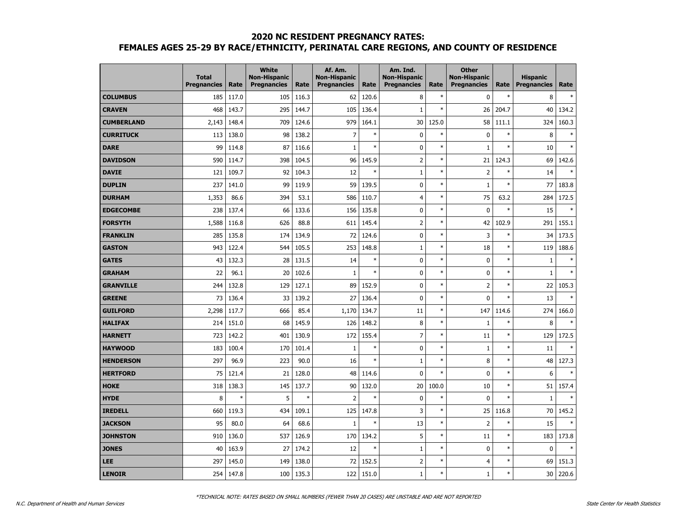|                   | <b>Total</b><br><b>Pregnancies</b> | Rate   | <b>White</b><br><b>Non-Hispanic</b><br><b>Pregnancies</b> | Rate   | Af. Am.<br><b>Non-Hispanic</b><br><b>Pregnancies</b> | Rate   | Am. Ind.<br><b>Non-Hispanic</b><br><b>Pregnancies</b> | Rate   | <b>Other</b><br><b>Non-Hispanic</b><br><b>Pregnancies</b> | Rate   | <b>Hispanic</b><br><b>Pregnancies</b> | Rate   |
|-------------------|------------------------------------|--------|-----------------------------------------------------------|--------|------------------------------------------------------|--------|-------------------------------------------------------|--------|-----------------------------------------------------------|--------|---------------------------------------|--------|
| <b>COLUMBUS</b>   | 185                                | 117.0  | 105                                                       | 116.3  | 62                                                   | 120.6  | 8                                                     | $\ast$ | 0                                                         | $\ast$ | 8                                     | $\ast$ |
| <b>CRAVEN</b>     | 468                                | 143.7  | 295                                                       | 144.7  | 105                                                  | 136.4  | 1                                                     | $\ast$ | 26                                                        | 204.7  | 40                                    | 134.2  |
| <b>CUMBERLAND</b> | 2,143                              | 148.4  | 709                                                       | 124.6  | 979                                                  | 164.1  | 30                                                    | 125.0  | 58                                                        | 111.1  | 324                                   | 160.3  |
| <b>CURRITUCK</b>  | 113                                | 138.0  | 98                                                        | 138.2  | 7                                                    | $\ast$ | $\mathbf 0$                                           | $\ast$ | 0                                                         | $\ast$ | 8                                     | *      |
| <b>DARE</b>       | 99                                 | 114.8  | 87                                                        | 116.6  | $\mathbf{1}$                                         | $\ast$ | 0                                                     | $\ast$ | $\mathbf{1}$                                              | $\ast$ | 10                                    | $\ast$ |
| <b>DAVIDSON</b>   | 590                                | 114.7  | 398                                                       | 104.5  | 96                                                   | 145.9  | $\overline{2}$                                        | $\ast$ | 21                                                        | 124.3  | 69                                    | 142.6  |
| <b>DAVIE</b>      | 121                                | 109.7  | 92                                                        | 104.3  | 12                                                   | $\ast$ | $1\,$                                                 | $\ast$ | $\overline{2}$                                            | $\ast$ | 14                                    | $\ast$ |
| <b>DUPLIN</b>     | 237                                | 141.0  | 99                                                        | 119.9  | 59                                                   | 139.5  | 0                                                     | $\ast$ | $\mathbf{1}$                                              | $\ast$ | 77                                    | 183.8  |
| <b>DURHAM</b>     | 1,353                              | 86.6   | 394                                                       | 53.1   | 586                                                  | 110.7  | $\overline{4}$                                        | $\ast$ | 75                                                        | 63.2   | 284                                   | 172.5  |
| <b>EDGECOMBE</b>  | 238                                | 137.4  | 66                                                        | 133.6  | 156                                                  | 135.8  | 0                                                     | $\ast$ | $\mathbf 0$                                               | $\ast$ | 15                                    | $\ast$ |
| <b>FORSYTH</b>    | 1,588                              | 116.8  | 626                                                       | 88.8   | 611                                                  | 145.4  | $\overline{2}$                                        | $\ast$ | 42                                                        | 102.9  | 291                                   | 155.1  |
| <b>FRANKLIN</b>   | 285                                | 135.8  | 174                                                       | 134.9  | 72                                                   | 124.6  | 0                                                     | $\ast$ | 3                                                         | $\ast$ | 34                                    | 173.5  |
| <b>GASTON</b>     | 943                                | 122.4  | 544                                                       | 105.5  | 253                                                  | 148.8  | $\mathbf{1}$                                          | $\ast$ | 18                                                        | $\ast$ | 119                                   | 188.6  |
| <b>GATES</b>      | 43                                 | 132.3  | 28                                                        | 131.5  | 14                                                   | $\ast$ | 0                                                     | $\ast$ | $\mathbf 0$                                               | $\ast$ | $\mathbf{1}$                          | $\ast$ |
| <b>GRAHAM</b>     | 22                                 | 96.1   | 20                                                        | 102.6  | 1                                                    | $\ast$ | $\mathbf 0$                                           | $\ast$ | $\mathbf 0$                                               | $\ast$ | $1\,$                                 | $\ast$ |
| <b>GRANVILLE</b>  | 244                                | 132.8  | 129                                                       | 127.1  | 89                                                   | 152.9  | $\mathbf 0$                                           | $\ast$ | $\overline{2}$                                            | $\ast$ | 22                                    | 105.3  |
| <b>GREENE</b>     | 73                                 | 136.4  | 33                                                        | 139.2  | 27                                                   | 136.4  | 0                                                     | $\ast$ | $\mathbf 0$                                               | $\ast$ | 13                                    | $\ast$ |
| <b>GUILFORD</b>   | 2,298                              | 117.7  | 666                                                       | 85.4   | 1,170                                                | 134.7  | 11                                                    | $\ast$ | 147                                                       | 114.6  | 274                                   | 166.0  |
| <b>HALIFAX</b>    | 214                                | 151.0  | 68                                                        | 145.9  | 126                                                  | 148.2  | 8                                                     | $\ast$ | $\mathbf{1}$                                              | $\ast$ | 8                                     | $\ast$ |
| <b>HARNETT</b>    | 723                                | 142.2  | 401                                                       | 130.9  | 172                                                  | 155.4  | $\overline{7}$                                        | $\ast$ | 11                                                        | $\ast$ | 129                                   | 172.5  |
| <b>HAYWOOD</b>    | 183                                | 100.4  | 170                                                       | 101.4  | $\mathbf{1}$                                         | $\ast$ | $\mathbf 0$                                           | $\ast$ | $\mathbf{1}$                                              | $\ast$ | 11                                    | $\ast$ |
| <b>HENDERSON</b>  | 297                                | 96.9   | 223                                                       | 90.0   | 16                                                   | $\ast$ | $\mathbf{1}$                                          | $\ast$ | 8                                                         | $\ast$ | 48                                    | 127.3  |
| <b>HERTFORD</b>   | 75                                 | 121.4  | 21                                                        | 128.0  | 48                                                   | 114.6  | 0                                                     | $\ast$ | $\mathbf 0$                                               | $\ast$ | 6                                     | $\ast$ |
| <b>HOKE</b>       | 318                                | 138.3  | 145                                                       | 137.7  | 90                                                   | 132.0  | 20                                                    | 100.0  | 10                                                        | $\ast$ | 51                                    | 157.4  |
| <b>HYDE</b>       | 8                                  | $\ast$ | 5                                                         | $\ast$ | $\overline{2}$                                       | $\ast$ | 0                                                     | $\ast$ | $\mathbf 0$                                               | $\ast$ | $\mathbf{1}$                          | $\ast$ |
| <b>IREDELL</b>    | 660                                | 119.3  | 434                                                       | 109.1  | 125                                                  | 147.8  | 3                                                     | $\ast$ | 25                                                        | 116.8  | 70                                    | 145.2  |
| <b>JACKSON</b>    | 95                                 | 80.0   | 64                                                        | 68.6   | $\mathbf{1}$                                         | $\ast$ | 13                                                    | $\ast$ | $\overline{2}$                                            | $\ast$ | 15                                    | $\ast$ |
| <b>JOHNSTON</b>   | 910                                | 136.0  | 537                                                       | 126.9  | 170                                                  | 134.2  | 5                                                     | $\ast$ | 11                                                        | $\ast$ | 183                                   | 173.8  |
| <b>JONES</b>      | 40                                 | 163.9  | 27                                                        | 174.2  | 12                                                   | $\ast$ | $\mathbf{1}$                                          | $\ast$ | 0                                                         | $\ast$ | $\mathbf 0$                           | $\ast$ |
| <b>LEE</b>        | 297                                | 145.0  | 149                                                       | 138.0  | 72                                                   | 152.5  | $\overline{2}$                                        | $\ast$ | $\overline{4}$                                            | $\ast$ | 69                                    | 151.3  |
| <b>LENOIR</b>     | 254                                | 147.8  | 100                                                       | 135.3  | 122                                                  | 151.0  | $\mathbf{1}$                                          | $\ast$ | $\mathbf{1}$                                              | $\ast$ | 30                                    | 220.6  |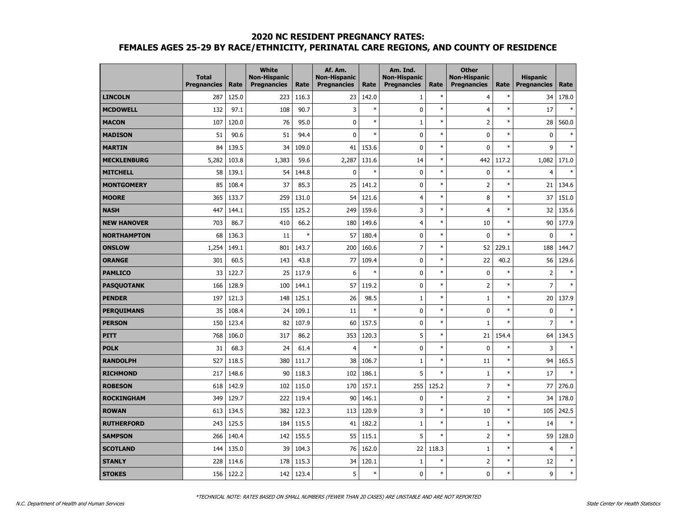|                    | <b>Total</b><br><b>Pregnancies</b> | Rate  | <b>White</b><br><b>Non-Hispanic</b><br><b>Pregnancies</b> | Rate   | Af. Am.<br><b>Non-Hispanic</b><br><b>Pregnancies</b> | Rate   | Am. Ind.<br><b>Non-Hispanic</b><br><b>Pregnancies</b> | Rate   | <b>Other</b><br><b>Non-Hispanic</b><br><b>Pregnancies</b> | Rate   | <b>Hispanic</b><br><b>Pregnancies</b> | Rate   |
|--------------------|------------------------------------|-------|-----------------------------------------------------------|--------|------------------------------------------------------|--------|-------------------------------------------------------|--------|-----------------------------------------------------------|--------|---------------------------------------|--------|
| <b>LINCOLN</b>     | 287                                | 125.0 | 223                                                       | 116.3  | 23                                                   | 142.0  | $\mathbf{1}$                                          | $\ast$ | $\overline{4}$                                            | $\ast$ | 34                                    | 178.0  |
| <b>MCDOWELL</b>    | 132                                | 97.1  | 108                                                       | 90.7   | 3                                                    | $\ast$ | $\mathbf 0$                                           | $\ast$ | $\overline{4}$                                            | $\ast$ | 17                                    | $\ast$ |
| <b>MACON</b>       | 107                                | 120.0 | 76                                                        | 95.0   | 0                                                    | $\ast$ | $\mathbf{1}$                                          | $\ast$ | $\overline{2}$                                            | $\ast$ | 28                                    | 560.0  |
| <b>MADISON</b>     | 51                                 | 90.6  | 51                                                        | 94.4   | 0                                                    | $\ast$ | 0                                                     | $\ast$ | 0                                                         | $\ast$ | 0                                     | $\ast$ |
| <b>MARTIN</b>      | 84                                 | 139.5 | 34                                                        | 109.0  | 41                                                   | 153.6  | 0                                                     | $\ast$ | $\mathbf 0$                                               | $\ast$ | 9                                     | $\ast$ |
| <b>MECKLENBURG</b> | 5,282                              | 103.8 | 1,383                                                     | 59.6   | 2,287                                                | 131.6  | 14                                                    | $\ast$ | 442                                                       | 117.2  | 1,082                                 | 171.0  |
| <b>MITCHELL</b>    | 58                                 | 139.1 | 54                                                        | 144.8  | $\mathbf{0}$                                         | $\ast$ | $\mathbf 0$                                           | $\ast$ | $\mathbf 0$                                               | $\ast$ | $\overline{4}$                        | $\ast$ |
| <b>MONTGOMERY</b>  | 85                                 | 108.4 | 37                                                        | 85.3   | 25                                                   | 141.2  | $\mathbf 0$                                           | $\ast$ | $\overline{2}$                                            | $\ast$ | 21                                    | 134.6  |
| <b>MOORE</b>       | 365                                | 133.7 | 259                                                       | 131.0  | 54                                                   | 121.6  | $\overline{4}$                                        | $\ast$ | 8                                                         | $\ast$ | 37                                    | 151.0  |
| <b>NASH</b>        | 447                                | 144.1 | 155                                                       | 125.2  | 249                                                  | 159.6  | 3                                                     | $\ast$ | $\overline{4}$                                            | $\ast$ | 32                                    | 135.6  |
| <b>NEW HANOVER</b> | 703                                | 86.7  | 410                                                       | 66.2   | 180                                                  | 149.6  | $\overline{4}$                                        | $\ast$ | 10                                                        | $\ast$ | 90                                    | 177.9  |
| <b>NORTHAMPTON</b> | 68                                 | 136.3 | 11                                                        | $\ast$ | 57                                                   | 180.4  | $\mathbf 0$                                           | $\ast$ | $\mathbf 0$                                               | $\ast$ | $\mathbf 0$                           | $\ast$ |
| <b>ONSLOW</b>      | 1,254                              | 149.1 | 801                                                       | 143.7  | 200                                                  | 160.6  | $\overline{7}$                                        | $\ast$ | 52                                                        | 229.1  | 188                                   | 144.7  |
| <b>ORANGE</b>      | 301                                | 60.5  | 143                                                       | 43.8   | 77                                                   | 109.4  | $\mathbf 0$                                           | $\ast$ | 22                                                        | 40.2   | 56                                    | 129.6  |
| <b>PAMLICO</b>     | 33                                 | 122.7 | 25                                                        | 117.9  | 6                                                    | $\ast$ | $\mathbf 0$                                           | $\ast$ | $\mathbf 0$                                               | $\ast$ | $\overline{2}$                        | $\ast$ |
| <b>PASQUOTANK</b>  | 166                                | 128.9 | 100                                                       | 144.1  | 57                                                   | 119.2  | $\mathbf 0$                                           | $\ast$ | $\overline{2}$                                            | $\ast$ | $\overline{7}$                        | $\ast$ |
| <b>PENDER</b>      | 197                                | 121.3 | 148                                                       | 125.1  | 26                                                   | 98.5   | $1\,$                                                 | $\ast$ | $\mathbf{1}$                                              | $\ast$ | 20                                    | 137.9  |
| <b>PERQUIMANS</b>  | 35                                 | 108.4 | 24                                                        | 109.1  | 11                                                   | $\ast$ | $\mathbf 0$                                           | $\ast$ | $\mathbf 0$                                               | $\ast$ | $\pmb{0}$                             | $\ast$ |
| <b>PERSON</b>      | 150                                | 123.4 | 82                                                        | 107.9  | 60                                                   | 157.5  | $\mathbf 0$                                           | $\ast$ | $\mathbf{1}$                                              | $\ast$ | $\overline{7}$                        | $\ast$ |
| PITT               | 768                                | 106.0 | 317                                                       | 86.2   | 353                                                  | 120.3  | 5                                                     | $\ast$ | 21                                                        | 154.4  | 64                                    | 134.5  |
| <b>POLK</b>        | 31                                 | 68.3  | 24                                                        | 61.4   | $\overline{4}$                                       | $\ast$ | $\mathbf 0$                                           | $\ast$ | $\mathbf 0$                                               | $\ast$ | 3                                     |        |
| <b>RANDOLPH</b>    | 527                                | 118.5 | 380                                                       | 111.7  | 38                                                   | 106.7  | $\mathbf{1}$                                          | $\ast$ | 11                                                        | $\ast$ | 94                                    | 165.5  |
| <b>RICHMOND</b>    | 217                                | 148.6 | 90                                                        | 118.3  | 102                                                  | 186.1  | 5                                                     | $\ast$ | $\mathbf{1}$                                              | $\ast$ | 17                                    | $\ast$ |
| <b>ROBESON</b>     | 618                                | 142.9 | 102                                                       | 115.0  | 170                                                  | 157.1  | 255                                                   | 125.2  | $\overline{7}$                                            | $\ast$ | 77                                    | 276.0  |
| <b>ROCKINGHAM</b>  | 349                                | 129.7 | 222                                                       | 119.4  | 90                                                   | 146.1  | $\mathbf 0$                                           | $\ast$ | $\overline{2}$                                            | $\ast$ | 34                                    | 178.0  |
| <b>ROWAN</b>       | 613                                | 134.5 | 382                                                       | 122.3  | 113                                                  | 120.9  | 3                                                     | $\ast$ | 10                                                        | $\ast$ | 105                                   | 242.5  |
| <b>RUTHERFORD</b>  | 243                                | 125.5 | 184                                                       | 115.5  | 41                                                   | 182.2  | $\mathbf{1}$                                          | $\ast$ | $\mathbf{1}$                                              | $\ast$ | 14                                    | $\ast$ |
| <b>SAMPSON</b>     | 266                                | 140.4 | 142                                                       | 155.5  | 55                                                   | 115.1  | 5                                                     | $\ast$ | $\mathsf 2$                                               | $\ast$ | 59                                    | 128.0  |
| <b>SCOTLAND</b>    | 144                                | 135.0 | 39                                                        | 104.3  | 76                                                   | 162.0  | 22                                                    | 118.3  | $\mathbf{1}$                                              | $\ast$ | $\overline{4}$                        | $\ast$ |
| <b>STANLY</b>      | 228                                | 114.6 | 178                                                       | 115.3  | 34                                                   | 120.1  | $\mathbf{1}$                                          | $\ast$ | $\overline{2}$                                            | $\ast$ | 12                                    | $\ast$ |
| <b>STOKES</b>      | 156                                | 122.2 | 142                                                       | 123.4  | 5                                                    | $\ast$ | $\mathbf{0}$                                          | $\ast$ | $\mathbf{0}$                                              | $\ast$ | 9                                     | $\ast$ |